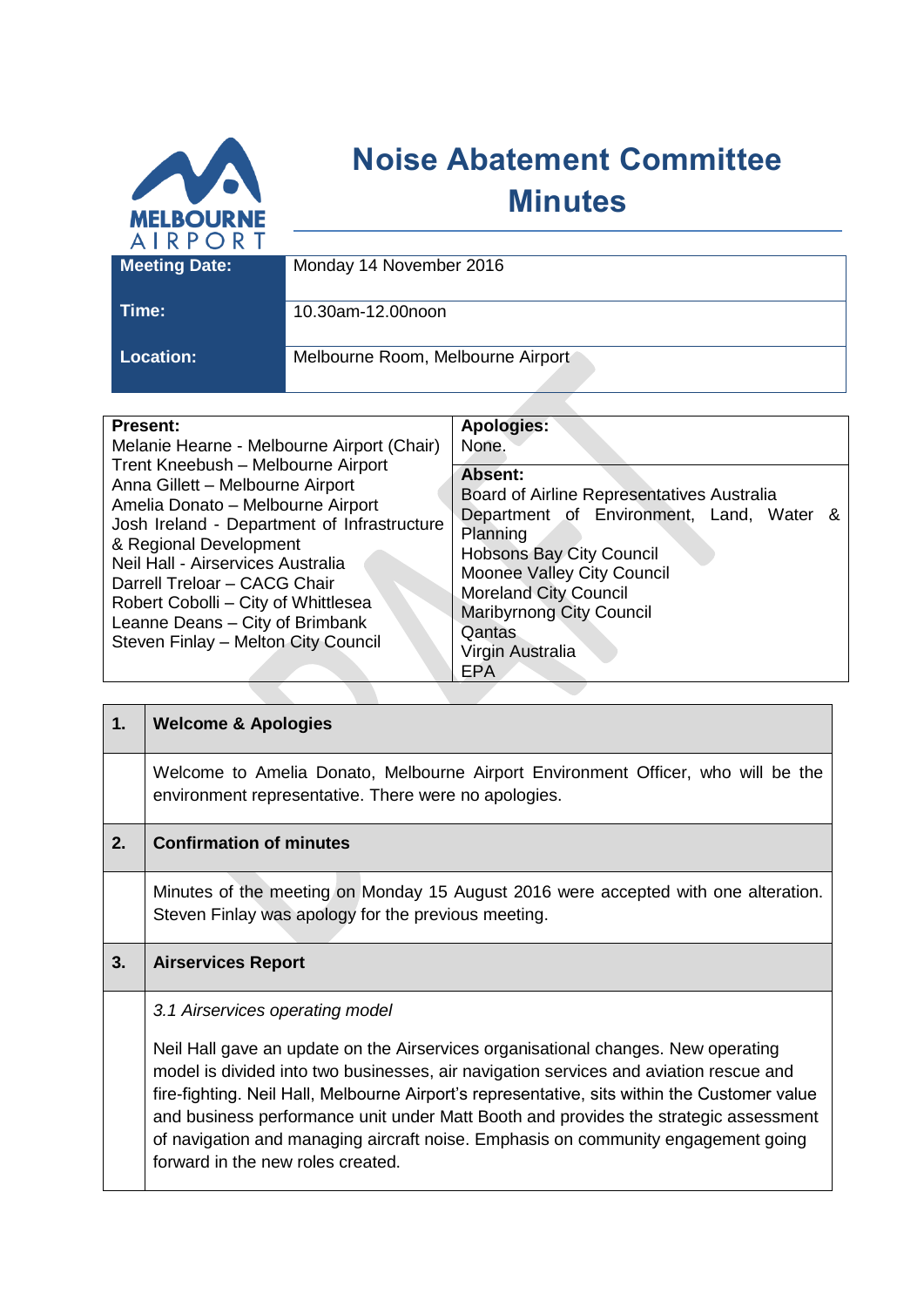

## **Noise Abatement Committee Minutes**

| AINTUN I         |                                   |
|------------------|-----------------------------------|
| Meeting Date:    | Monday 14 November 2016           |
|                  |                                   |
| Time:            | 10.30am-12.00noon                 |
|                  |                                   |
|                  |                                   |
| <b>Location:</b> | Melbourne Room, Melbourne Airport |
|                  |                                   |

| <b>Present:</b>                                                                                                                                                                                                                                                                                                                                                            | Apologies:                                                                                                                                                                                                                                                                      |
|----------------------------------------------------------------------------------------------------------------------------------------------------------------------------------------------------------------------------------------------------------------------------------------------------------------------------------------------------------------------------|---------------------------------------------------------------------------------------------------------------------------------------------------------------------------------------------------------------------------------------------------------------------------------|
| Melanie Hearne - Melbourne Airport (Chair)                                                                                                                                                                                                                                                                                                                                 | None.                                                                                                                                                                                                                                                                           |
| Trent Kneebush - Melbourne Airport<br>Anna Gillett - Melbourne Airport<br>Amelia Donato - Melbourne Airport<br>Josh Ireland - Department of Infrastructure<br>& Regional Development<br>Neil Hall - Airservices Australia<br>Darrell Treloar - CACG Chair<br>Robert Cobolli - City of Whittlesea<br>Leanne Deans - City of Brimbank<br>Steven Finlay - Melton City Council | Absent:<br>Board of Airline Representatives Australia<br>Department of Environment, Land, Water &<br>Planning<br><b>Hobsons Bay City Council</b><br>Moonee Valley City Council<br><b>Moreland City Council</b><br>Maribyrnong City Council<br>Qantas<br>Virgin Australia<br>EPA |

| 1. | <b>Welcome &amp; Apologies</b>                                                                                                                                                                                                                                                                                                                                                                                                                                                                                                  |
|----|---------------------------------------------------------------------------------------------------------------------------------------------------------------------------------------------------------------------------------------------------------------------------------------------------------------------------------------------------------------------------------------------------------------------------------------------------------------------------------------------------------------------------------|
|    | Welcome to Amelia Donato, Melbourne Airport Environment Officer, who will be the<br>environment representative. There were no apologies.                                                                                                                                                                                                                                                                                                                                                                                        |
| 2. | <b>Confirmation of minutes</b>                                                                                                                                                                                                                                                                                                                                                                                                                                                                                                  |
|    | Minutes of the meeting on Monday 15 August 2016 were accepted with one alteration.<br>Steven Finlay was apology for the previous meeting.                                                                                                                                                                                                                                                                                                                                                                                       |
| 3. | <b>Airservices Report</b>                                                                                                                                                                                                                                                                                                                                                                                                                                                                                                       |
|    | 3.1 Airservices operating model<br>Neil Hall gave an update on the Airservices organisational changes. New operating<br>model is divided into two businesses, air navigation services and aviation rescue and<br>fire-fighting. Neil Hall, Melbourne Airport's representative, sits within the Customer value<br>and business performance unit under Matt Booth and provides the strategic assessment<br>of navigation and managing aircraft noise. Emphasis on community engagement going<br>forward in the new roles created. |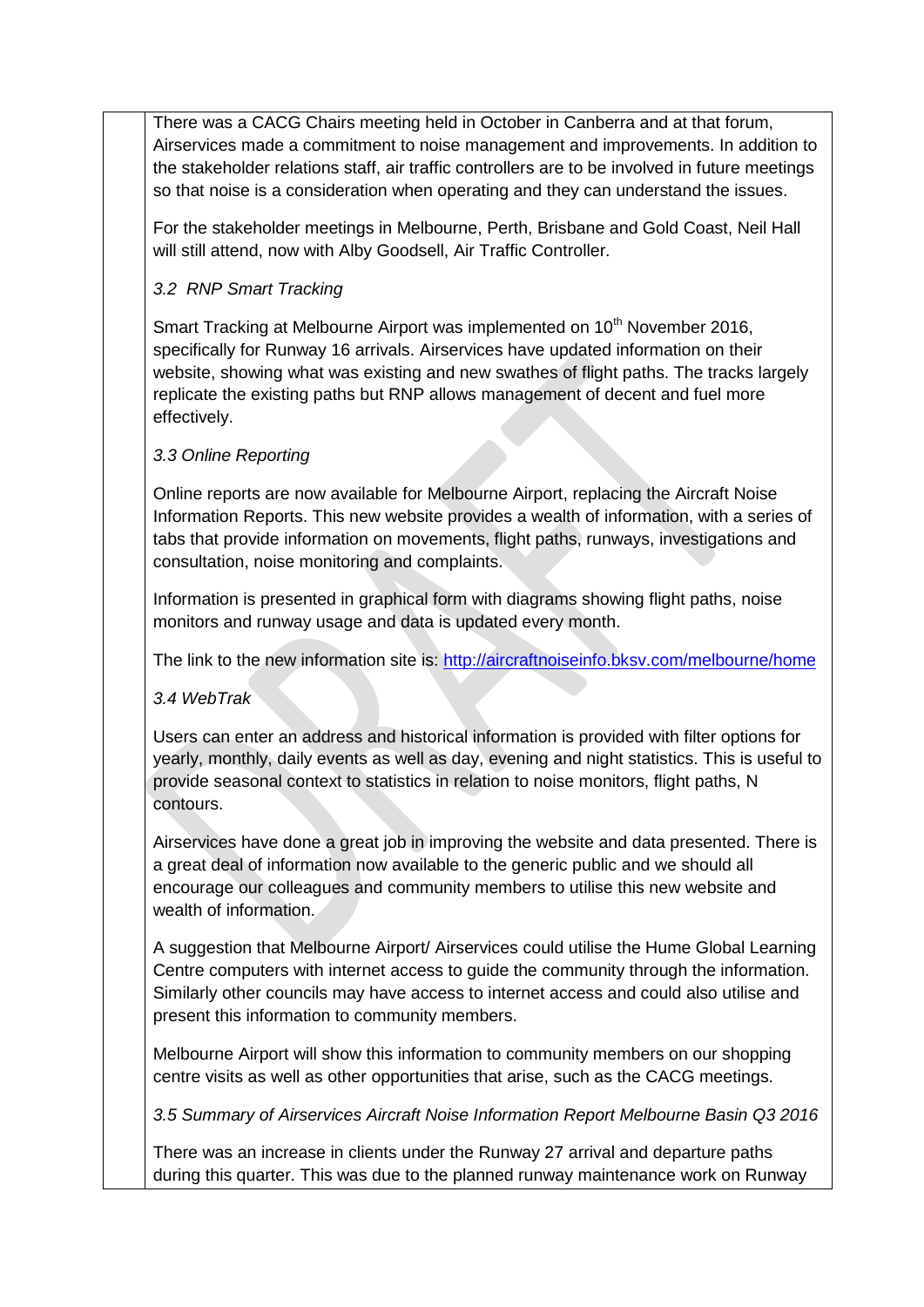There was a CACG Chairs meeting held in October in Canberra and at that forum, Airservices made a commitment to noise management and improvements. In addition to the stakeholder relations staff, air traffic controllers are to be involved in future meetings so that noise is a consideration when operating and they can understand the issues.

For the stakeholder meetings in Melbourne, Perth, Brisbane and Gold Coast, Neil Hall will still attend, now with Alby Goodsell, Air Traffic Controller.

## *3.2 RNP Smart Tracking*

Smart Tracking at Melbourne Airport was implemented on 10<sup>th</sup> November 2016. specifically for Runway 16 arrivals. Airservices have updated information on their website, showing what was existing and new swathes of flight paths. The tracks largely replicate the existing paths but RNP allows management of decent and fuel more effectively.

## *3.3 Online Reporting*

Online reports are now available for Melbourne Airport, replacing the Aircraft Noise Information Reports. This new website provides a wealth of information, with a series of tabs that provide information on movements, flight paths, runways, investigations and consultation, noise monitoring and complaints.

Information is presented in graphical form with diagrams showing flight paths, noise monitors and runway usage and data is updated every month.

The link to the new information site is:<http://aircraftnoiseinfo.bksv.com/melbourne/home>

*3.4 WebTrak*

Users can enter an address and historical information is provided with filter options for yearly, monthly, daily events as well as day, evening and night statistics. This is useful to provide seasonal context to statistics in relation to noise monitors, flight paths, N contours.

Airservices have done a great job in improving the website and data presented. There is a great deal of information now available to the generic public and we should all encourage our colleagues and community members to utilise this new website and wealth of information.

A suggestion that Melbourne Airport/ Airservices could utilise the Hume Global Learning Centre computers with internet access to guide the community through the information. Similarly other councils may have access to internet access and could also utilise and present this information to community members.

Melbourne Airport will show this information to community members on our shopping centre visits as well as other opportunities that arise, such as the CACG meetings.

*3.5 Summary of Airservices Aircraft Noise Information Report Melbourne Basin Q3 2016*

There was an increase in clients under the Runway 27 arrival and departure paths during this quarter. This was due to the planned runway maintenance work on Runway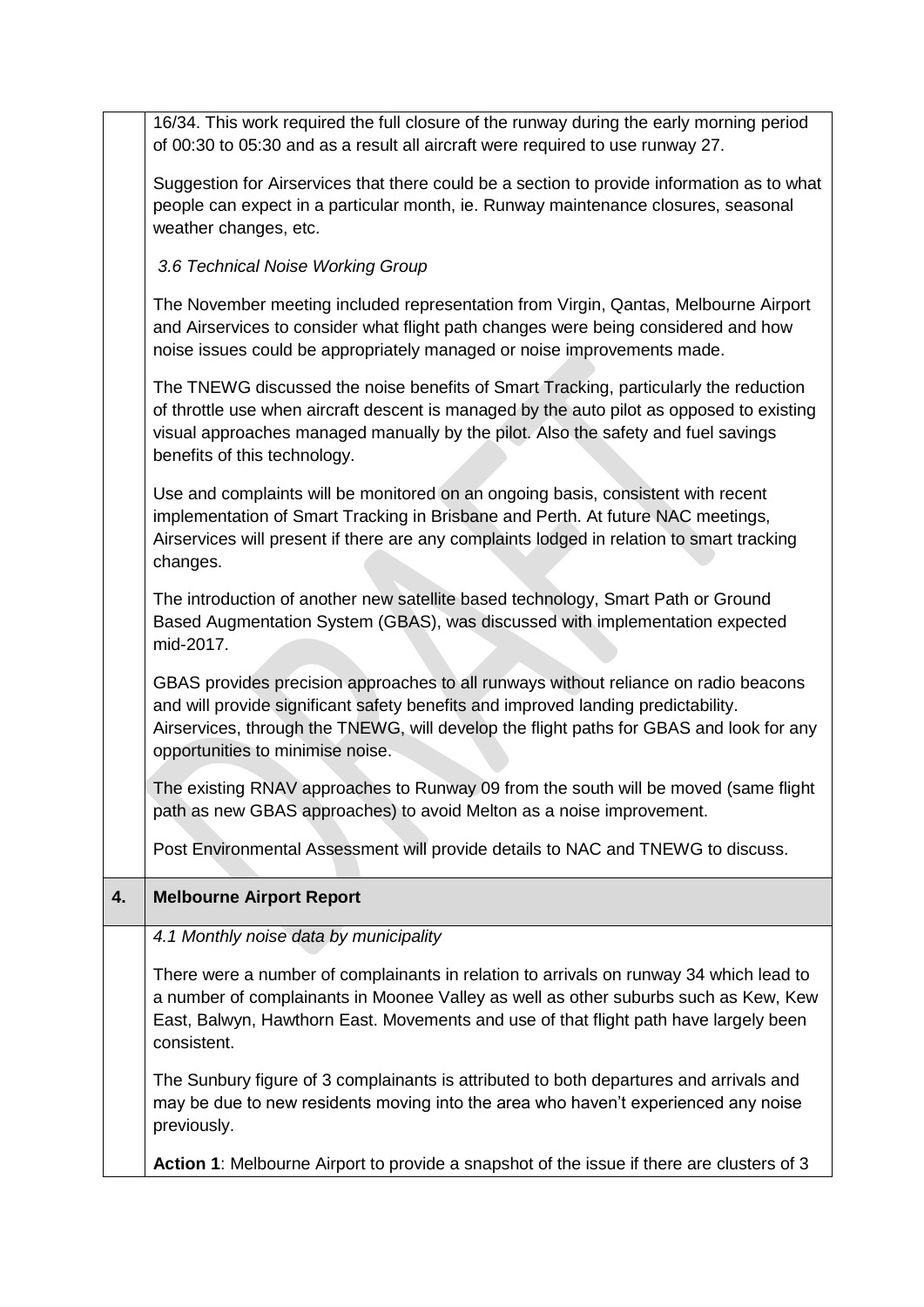|    | 16/34. This work required the full closure of the runway during the early morning period<br>of 00:30 to 05:30 and as a result all aircraft were required to use runway 27.                                                                                                                              |
|----|---------------------------------------------------------------------------------------------------------------------------------------------------------------------------------------------------------------------------------------------------------------------------------------------------------|
|    | Suggestion for Airservices that there could be a section to provide information as to what<br>people can expect in a particular month, ie. Runway maintenance closures, seasonal<br>weather changes, etc.                                                                                               |
|    | 3.6 Technical Noise Working Group                                                                                                                                                                                                                                                                       |
|    | The November meeting included representation from Virgin, Qantas, Melbourne Airport<br>and Airservices to consider what flight path changes were being considered and how<br>noise issues could be appropriately managed or noise improvements made.                                                    |
|    | The TNEWG discussed the noise benefits of Smart Tracking, particularly the reduction<br>of throttle use when aircraft descent is managed by the auto pilot as opposed to existing<br>visual approaches managed manually by the pilot. Also the safety and fuel savings<br>benefits of this technology.  |
|    | Use and complaints will be monitored on an ongoing basis, consistent with recent<br>implementation of Smart Tracking in Brisbane and Perth. At future NAC meetings,<br>Airservices will present if there are any complaints lodged in relation to smart tracking<br>changes.                            |
|    | The introduction of another new satellite based technology, Smart Path or Ground<br>Based Augmentation System (GBAS), was discussed with implementation expected<br>mid-2017.                                                                                                                           |
|    | GBAS provides precision approaches to all runways without reliance on radio beacons<br>and will provide significant safety benefits and improved landing predictability.<br>Airservices, through the TNEWG, will develop the flight paths for GBAS and look for any<br>opportunities to minimise noise. |
|    | The existing RNAV approaches to Runway 09 from the south will be moved (same flight<br>path as new GBAS approaches) to avoid Melton as a noise improvement.                                                                                                                                             |
|    | Post Environmental Assessment will provide details to NAC and TNEWG to discuss.                                                                                                                                                                                                                         |
| 4. | <b>Melbourne Airport Report</b>                                                                                                                                                                                                                                                                         |
|    | 4.1 Monthly noise data by municipality                                                                                                                                                                                                                                                                  |
|    | There were a number of complainants in relation to arrivals on runway 34 which lead to<br>a number of complainants in Moonee Valley as well as other suburbs such as Kew, Kew<br>East, Balwyn, Hawthorn East. Movements and use of that flight path have largely been<br>consistent.                    |
|    | The Sunbury figure of 3 complainants is attributed to both departures and arrivals and<br>may be due to new residents moving into the area who haven't experienced any noise<br>previously.                                                                                                             |
|    | Action 1: Melbourne Airport to provide a snapshot of the issue if there are clusters of 3                                                                                                                                                                                                               |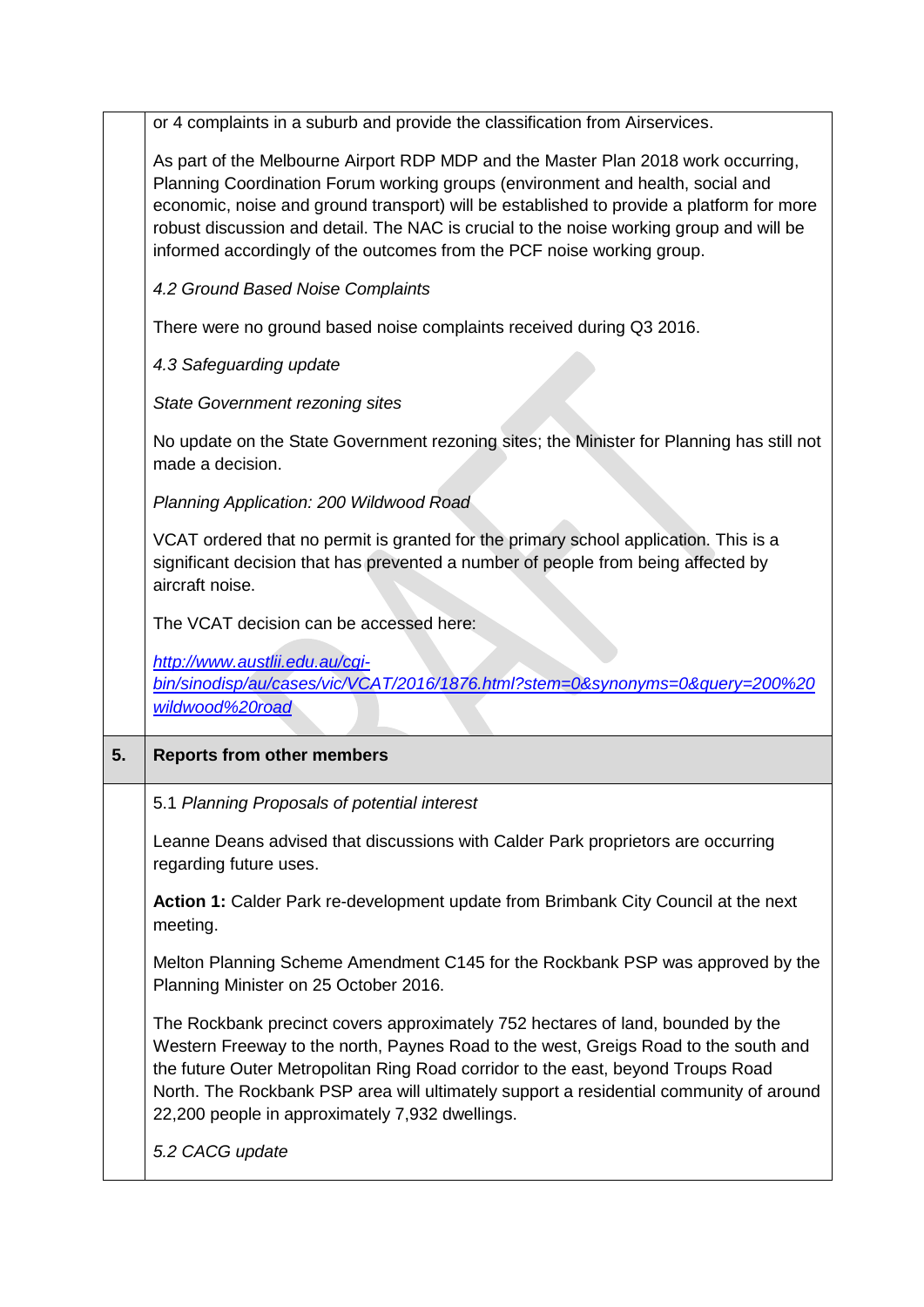or 4 complaints in a suburb and provide the classification from Airservices. As part of the Melbourne Airport RDP MDP and the Master Plan 2018 work occurring, Planning Coordination Forum working groups (environment and health, social and economic, noise and ground transport) will be established to provide a platform for more robust discussion and detail. The NAC is crucial to the noise working group and will be informed accordingly of the outcomes from the PCF noise working group. *4.2 Ground Based Noise Complaints* There were no ground based noise complaints received during Q3 2016. *4.3 Safeguarding update State Government rezoning sites* No update on the State Government rezoning sites; the Minister for Planning has still not made a decision. *Planning Application: 200 Wildwood Road* VCAT ordered that no permit is granted for the primary school application. This is a significant decision that has prevented a number of people from being affected by aircraft noise. The VCAT decision can be accessed here: *[http://www.austlii.edu.au/cgi](http://www.austlii.edu.au/cgi-bin/sinodisp/au/cases/vic/VCAT/2016/1876.html?stem=0&synonyms=0&query=200%20wildwood%20road)[bin/sinodisp/au/cases/vic/VCAT/2016/1876.html?stem=0&synonyms=0&query=200%20](http://www.austlii.edu.au/cgi-bin/sinodisp/au/cases/vic/VCAT/2016/1876.html?stem=0&synonyms=0&query=200%20wildwood%20road) [wildwood%20road](http://www.austlii.edu.au/cgi-bin/sinodisp/au/cases/vic/VCAT/2016/1876.html?stem=0&synonyms=0&query=200%20wildwood%20road)* **5. Reports from other members** 5.1 *Planning Proposals of potential interest* Leanne Deans advised that discussions with Calder Park proprietors are occurring regarding future uses. **Action 1:** Calder Park re-development update from Brimbank City Council at the next meeting. Melton Planning Scheme Amendment C145 for the Rockbank PSP was approved by the Planning Minister on 25 October 2016. The Rockbank precinct covers approximately 752 hectares of land, bounded by the Western Freeway to the north, Paynes Road to the west, Greigs Road to the south and the future Outer Metropolitan Ring Road corridor to the east, beyond Troups Road North. The Rockbank PSP area will ultimately support a residential community of around 22,200 people in approximately 7,932 dwellings. *5.2 CACG update*